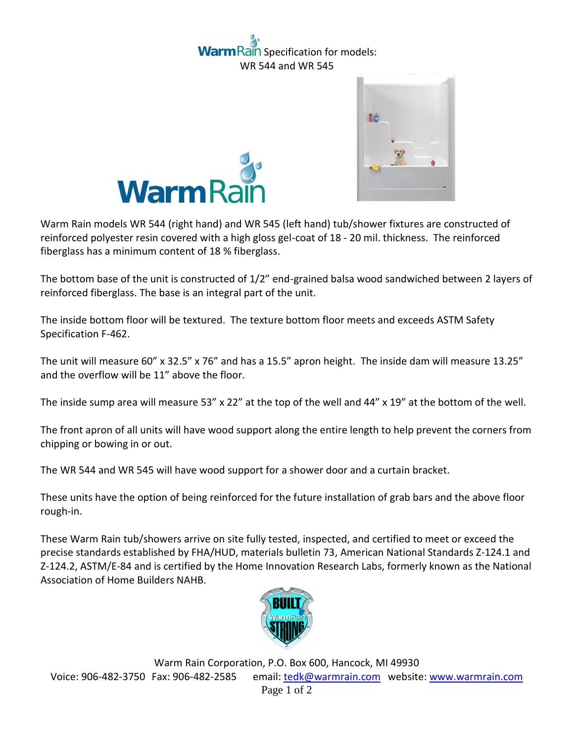## ain Specification for models: WR 544 and WR 545





Warm Rain models WR 544 (right hand) and WR 545 (left hand) tub/shower fixtures are constructed of reinforced polyester resin covered with a high gloss gel-coat of 18 - 20 mil. thickness. The reinforced fiberglass has a minimum content of 18 % fiberglass.

The bottom base of the unit is constructed of 1/2" end-grained balsa wood sandwiched between 2 layers of reinforced fiberglass. The base is an integral part of the unit.

The inside bottom floor will be textured. The texture bottom floor meets and exceeds ASTM Safety Specification F-462.

The unit will measure 60" x 32.5" x 76" and has a 15.5" apron height. The inside dam will measure 13.25" and the overflow will be 11" above the floor.

The inside sump area will measure 53" x 22" at the top of the well and 44" x 19" at the bottom of the well.

The front apron of all units will have wood support along the entire length to help prevent the corners from chipping or bowing in or out.

The WR 544 and WR 545 will have wood support for a shower door and a curtain bracket.

These units have the option of being reinforced for the future installation of grab bars and the above floor rough-in.

These Warm Rain tub/showers arrive on site fully tested, inspected, and certified to meet or exceed the precise standards established by FHA/HUD, materials bulletin 73, American National Standards Z-124.1 and Z-124.2, ASTM/E-84 and is certified by the Home Innovation Research Labs, formerly known as the National Association of Home Builders NAHB.